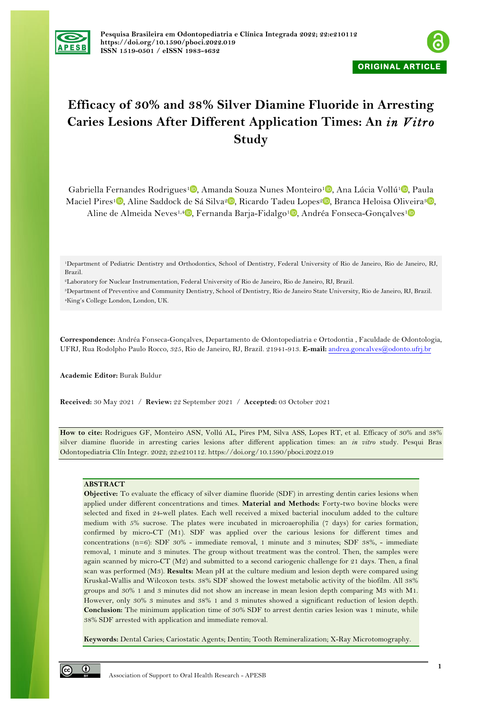



# **Efficacy of 30% and 38% Silver Diamine Fluoride in Arresting Caries Lesions After Different Application Times: An** *in Vitro* **Study**

Gabriella Fernandes Rodrigues<sup>1</sup><sup>0</sup>[,](https://orcid.org/0000-0003-0240-0107) Amanda Souza Nunes Monteiro<sup>1</sup><sup>0</sup>, Ana Lúcia Vollú<sup>1</sup><sup>0</sup>, Paula Maciel Pires<sup>1</sup> [,](https://orcid.org/0000-0003-4842-4980) Aline Saddock de Sá Silva<sup>2</sup> , Ricardo Tadeu Lopes<sup>2</sup> , Branca Heloisa Oliveira<sup>3</sup> , Aline de Almeida Neves<sup>1[,](https://orcid.org/0000-0002-6049-0588)4</sup> , Fernanda Barja-Fidalgo<sup>1</sup> , Andréa Fonseca-Gonçalves<sup>1</sup>

2Laboratory for Nuclear Instrumentation, Federal University of Rio de Janeiro, Rio de Janeiro, RJ, Brazil.

3Department of Preventive and Community Dentistry, School of Dentistry, Rio de Janeiro State University, Rio de Janeiro, RJ, Brazil. 4King's College London, London, UK.

**Correspondence:** Andréa Fonseca-Gonçalves, Departamento de Odontopediatria e Ortodontia , Faculdade de Odontologia, UFRJ, Rua Rodolpho Paulo Rocco, 325, Rio de Janeiro, RJ, Brazil. 21941-913. **E-mail:** andrea.goncalves@odonto.ufrj.br

**Academic Editor:** Burak Buldur

**Received:** 30 May 2021 / **Review:** 22 September 2021 / **Accepted:** 03 October 2021

**How to cite:** Rodrigues GF, Monteiro ASN, Vollú AL, Pires PM, Silva ASS, Lopes RT, et al. Efficacy of 30% and 38% silver diamine fluoride in arresting caries lesions after different application times: an *in vitro* study. Pesqui Bras Odontopediatria Clín Integr. 2022; 22:e210112. https://doi.org/10.1590/pboci.2022.019

# **ABSTRACT**

**Objective:** To evaluate the efficacy of silver diamine fluoride (SDF) in arresting dentin caries lesions when applied under different concentrations and times. **Material and Methods:** Forty-two bovine blocks were selected and fixed in 24-well plates. Each well received a mixed bacterial inoculum added to the culture medium with 5% sucrose. The plates were incubated in microaerophilia (7 days) for caries formation, confirmed by micro-CT (M1). SDF was applied over the carious lesions for different times and concentrations (n=6): SDF 30% - immediate removal, 1 minute and 3 minutes; SDF 38%, - immediate removal, 1 minute and 3 minutes. The group without treatment was the control. Then, the samples were again scanned by micro-CT  $(M2)$  and submitted to a second cariogenic challenge for 21 days. Then, a final scan was performed (M3). **Results:** Mean pH at the culture medium and lesion depth were compared using Kruskal-Wallis and Wilcoxon tests. 38% SDF showed the lowest metabolic activity of the biofilm. All 38% groups and 30% 1 and 3 minutes did not show an increase in mean lesion depth comparing M3 with M1. However, only 30% 3 minutes and 38% 1 and 3 minutes showed a significant reduction of lesion depth. **Conclusion:** The minimum application time of 30% SDF to arrest dentin caries lesion was 1 minute, while 38% SDF arrested with application and immediate removal.

**Keywords:** Dental Caries; Cariostatic Agents; Dentin; Tooth Remineralization; X-Ray Microtomography.

 $\odot$ 

<sup>1</sup>Department of Pediatric Dentistry and Orthodontics, School of Dentistry, Federal University of Rio de Janeiro, Rio de Janeiro, RJ, Brazil.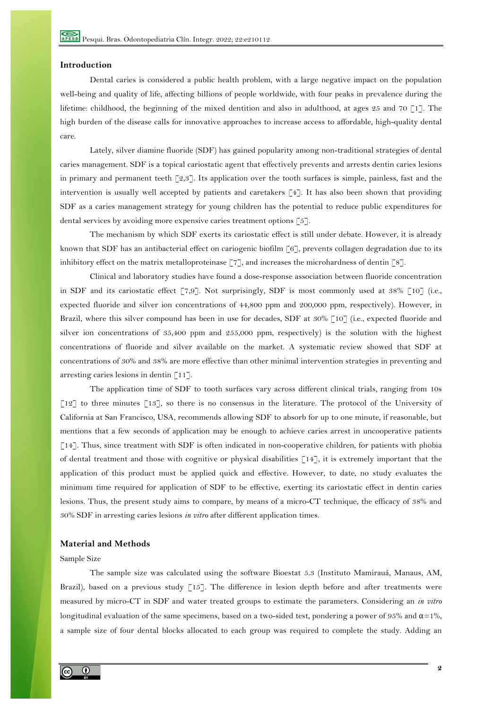# **Introduction**

Dental caries is considered a public health problem, with a large negative impact on the population well-being and quality of life, affecting billions of people worldwide, with four peaks in prevalence during the lifetime: childhood, the beginning of the mixed dentition and also in adulthood, at ages 25 and 70 [1]. The high burden of the disease calls for innovative approaches to increase access to affordable, high-quality dental care.

Lately, silver diamine fluoride (SDF) has gained popularity among non-traditional strategies of dental caries management. SDF is a topical cariostatic agent that effectively prevents and arrests dentin caries lesions in primary and permanent teeth [2,3]. Its application over the tooth surfaces is simple, painless, fast and the intervention is usually well accepted by patients and caretakers [4]. It has also been shown that providing SDF as a caries management strategy for young children has the potential to reduce public expenditures for dental services by avoiding more expensive caries treatment options [5].

The mechanism by which SDF exerts its cariostatic effect is still under debate. However, it is already known that SDF has an antibacterial effect on cariogenic biofilm [6], prevents collagen degradation due to its inhibitory effect on the matrix metalloproteinase [7], and increases the microhardness of dentin [8].

Clinical and laboratory studies have found a dose-response association between fluoride concentration in SDF and its cariostatic effect  $[7,9]$ . Not surprisingly, SDF is most commonly used at  $38\%$   $[10]$  (i.e., expected fluoride and silver ion concentrations of 44,800 ppm and 200,000 ppm, respectively). However, in Brazil, where this silver compound has been in use for decades, SDF at 30% [10] (i.e., expected fluoride and silver ion concentrations of 35,400 ppm and 255,000 ppm, respectively) is the solution with the highest concentrations of fluoride and silver available on the market. A systematic review showed that SDF at concentrations of 30% and 38% are more effective than other minimal intervention strategies in preventing and arresting caries lesions in dentin  $\lceil 11 \rceil$ .

The application time of SDF to tooth surfaces vary across different clinical trials, ranging from 10s [12] to three minutes [13], so there is no consensus in the literature. The protocol of the University of California at San Francisco, USA, recommends allowing SDF to absorb for up to one minute, if reasonable, but mentions that a few seconds of application may be enough to achieve caries arrest in uncooperative patients [14]. Thus, since treatment with SDF is often indicated in non-cooperative children, for patients with phobia of dental treatment and those with cognitive or physical disabilities [14], it is extremely important that the application of this product must be applied quick and effective. However, to date, no study evaluates the minimum time required for application of SDF to be effective, exerting its cariostatic effect in dentin caries lesions. Thus, the present study aims to compare, by means of a micro-CT technique, the efficacy of 38% and 30% SDF in arresting caries lesions *in vitro* after different application times.

#### **Material and Methods**

#### Sample Size

The sample size was calculated using the software Bioestat 5.3 (Instituto Mamirauá, Manaus, AM, Brazil), based on a previous study [15]. The difference in lesion depth before and after treatments were measured by micro-CT in SDF and water treated groups to estimate the parameters. Considering an *in vitro* longitudinal evaluation of the same specimens, based on a two-sided test, pondering a power of 95% and  $\alpha$ =1%, a sample size of four dental blocks allocated to each group was required to complete the study. Adding an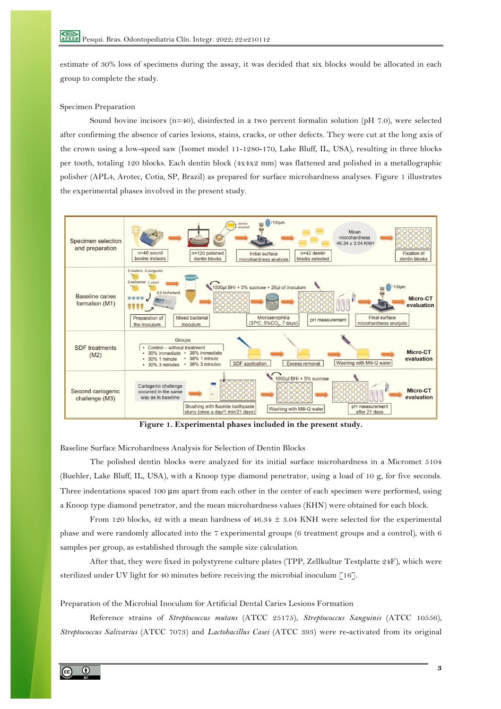estimate of 30% loss of specimens during the assay, it was decided that six blocks would be allocated in each group to complete the study.

## Specimen Preparation

Sound bovine incisors (n=40), disinfected in a two percent formalin solution (pH 7.0), were selected after confirming the absence of caries lesions, stains, cracks, or other defects. They were cut at the long axis of the crown using a low-speed saw (Isomet model 11-1280-170, Lake Bluff, IL, USA), resulting in three blocks per tooth, totaling 120 blocks. Each dentin block (4x4x2 mm) was flattened and polished in a metallographic polisher (APL4, Arotec, Cotia, SP, Brazil) as prepared for surface microhardness analyses. Figure 1 illustrates the experimental phases involved in the present study.



**Figure 1. Experimental phases included in the present study.**

Baseline Surface Microhardness Analysis for Selection of Dentin Blocks

The polished dentin blocks were analyzed for its initial surface microhardness in a Micromet 5104 (Buehler, Lake Bluff, IL, USA), with a Knoop type diamond penetrator, using a load of 10 g, for five seconds. Three indentations spaced 100 μm apart from each other in the center of each specimen were performed, using a Knoop type diamond penetrator, and the mean microhardness values (KHN) were obtained for each block.

From 120 blocks, 42 with a mean hardness of  $46.34 \pm 3.04$  KNH were selected for the experimental phase and were randomly allocated into the 7 experimental groups (6 treatment groups and a control), with 6 samples per group, as established through the sample size calculation.

After that, they were fixed in polystyrene culture plates (TPP, Zellkultur Testplatte 24F), which were sterilized under UV light for 40 minutes before receiving the microbial inoculum [16].

Preparation of the Microbial Inoculum for Artificial Dental Caries Lesions Formation

Reference strains of *Streptococcus mutans* (ATCC 25175), *Streptococcus Sanguinis* (ATCC 10556), *Streptococcus Salivarius* (ATCC 7073) and *Lactobacillus Casei* (ATCC 393) were re-activated from its original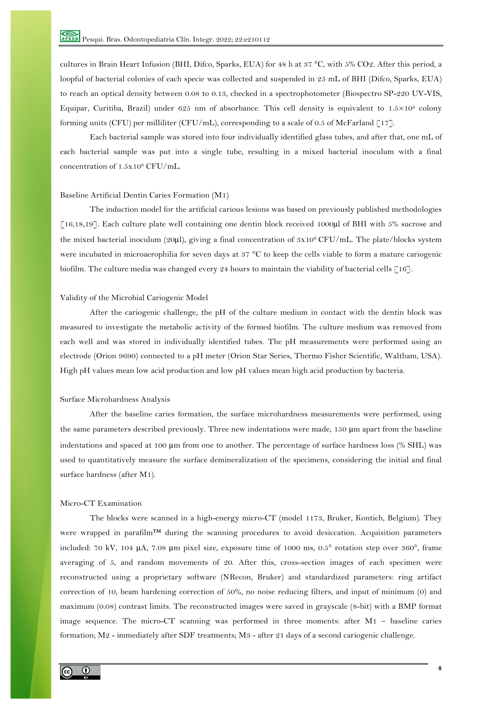cultures in Brain Heart Infusion (BHI, Difco, Sparks, EUA) for 48 h at 37 °C, with 5% CO2. After this period, a loopful of bacterial colonies of each specie was collected and suspended in 25 mL of BHI (Difco, Sparks, EUA) to reach an optical density between 0.08 to 0.13, checked in a spectrophotometer (Biospectro SP-220 UV-VIS, Equipar, Curitiba, Brazil) under 625 nm of absorbance. This cell density is equivalent to  $1.5 \times 10^8$  colony forming units (CFU) per milliliter (CFU/mL), corresponding to a scale of 0.5 of McFarland  $\lceil 17 \rceil$ .

Each bacterial sample was stored into four individually identified glass tubes, and after that, one mL of each bacterial sample was put into a single tube, resulting in a mixed bacterial inoculum with a final concentration of 1.5x108 CFU/mL.

#### Baseline Artificial Dentin Caries Formation (M1)

The induction model for the artificial carious lesions was based on previously published methodologies [16,18,19]. Each culture plate well containing one dentin block received 1000µl of BHI with 5% sucrose and the mixed bacterial inoculum (20μl), giving a final concentration of 3x106 CFU/mL. The plate/blocks system were incubated in microaerophilia for seven days at 37 °C to keep the cells viable to form a mature cariogenic biofilm. The culture media was changed every 24 hours to maintain the viability of bacterial cells [16].

## Validity of the Microbial Cariogenic Model

After the cariogenic challenge, the pH of the culture medium in contact with the dentin block was measured to investigate the metabolic activity of the formed biofilm. The culture medium was removed from each well and was stored in individually identified tubes. The pH measurements were performed using an electrode (Orion 9690) connected to a pH meter (Orion Star Series, Thermo Fisher Scientific, Waltham, USA). High pH values mean low acid production and low pH values mean high acid production by bacteria.

# Surface Microhardness Analysis

After the baseline caries formation, the surface microhardness measurements were performed, using the same parameters described previously. Three new indentations were made, 150 μm apart from the baseline indentations and spaced at 100 μm from one to another. The percentage of surface hardness loss (% SHL) was used to quantitatively measure the surface demineralization of the specimens, considering the initial and final surface hardness (after M1).

# Micro-CT Examination

The blocks were scanned in a high-energy micro-CT (model 1173, Bruker, Kontich, Belgium). They were wrapped in parafilm™ during the scanning procedures to avoid desiccation. Acquisition parameters included: 70 kV, 104 μA, 7.08 μm pixel size, exposure time of 1000 ms, 0.5° rotation step over 360°, frame averaging of 5, and random movements of 20. After this, cross-section images of each specimen were reconstructed using a proprietary software (NRecon, Bruker) and standardized parameters: ring artifact correction of 10, beam hardening correction of 50%, no noise reducing filters, and input of minimum (0) and maximum (0.08) contrast limits. The reconstructed images were saved in grayscale (8-bit) with a BMP format image sequence. The micro-CT scanning was performed in three moments: after M1 – baseline caries formation; M2 - immediately after SDF treatments; M3 - after 21 days of a second cariogenic challenge.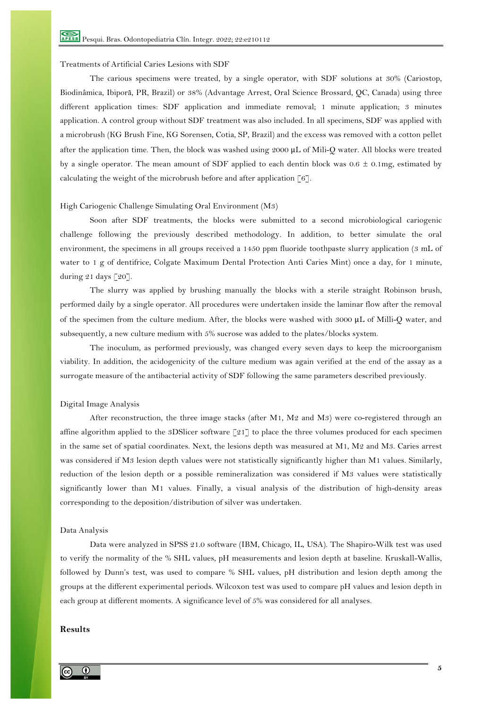## Treatments of Artificial Caries Lesions with SDF

The carious specimens were treated, by a single operator, with SDF solutions at 30% (Cariostop, Biodinâmica, Ibiporã, PR, Brazil) or 38% (Advantage Arrest, Oral Science Brossard, QC, Canada) using three different application times: SDF application and immediate removal; 1 minute application; 3 minutes application. A control group without SDF treatment was also included. In all specimens, SDF was applied with a microbrush (KG Brush Fine, KG Sorensen, Cotia, SP, Brazil) and the excess was removed with a cotton pellet after the application time. Then, the block was washed using 2000 μL of Mili-Q water. All blocks were treated by a single operator. The mean amount of SDF applied to each dentin block was  $0.6 \pm 0.1$ mg, estimated by calculating the weight of the microbrush before and after application [6].

## High Cariogenic Challenge Simulating Oral Environment (M3)

Soon after SDF treatments, the blocks were submitted to a second microbiological cariogenic challenge following the previously described methodology. In addition, to better simulate the oral environment, the specimens in all groups received a 1450 ppm fluoride toothpaste slurry application (3 mL of water to 1 g of dentifrice, Colgate Maximum Dental Protection Anti Caries Mint) once a day, for 1 minute, during 21 days [20].

The slurry was applied by brushing manually the blocks with a sterile straight Robinson brush, performed daily by a single operator. All procedures were undertaken inside the laminar flow after the removal of the specimen from the culture medium. After, the blocks were washed with 3000 μL of Milli-Q water, and subsequently, a new culture medium with 5% sucrose was added to the plates/blocks system.

The inoculum, as performed previously, was changed every seven days to keep the microorganism viability. In addition, the acidogenicity of the culture medium was again verified at the end of the assay as a surrogate measure of the antibacterial activity of SDF following the same parameters described previously.

# Digital Image Analysis

After reconstruction, the three image stacks (after M1, M2 and M3) were co-registered through an affine algorithm applied to the 3DSlicer software [21] to place the three volumes produced for each specimen in the same set of spatial coordinates. Next, the lesions depth was measured at M1, M2 and M3. Caries arrest was considered if M3 lesion depth values were not statistically significantly higher than M1 values. Similarly, reduction of the lesion depth or a possible remineralization was considered if M3 values were statistically significantly lower than M1 values. Finally, a visual analysis of the distribution of high-density areas corresponding to the deposition/distribution of silver was undertaken.

## Data Analysis

Data were analyzed in SPSS 21.0 software (IBM, Chicago, IL, USA). The Shapiro-Wilk test was used to verify the normality of the % SHL values, pH measurements and lesion depth at baseline. Kruskall-Wallis, followed by Dunn's test, was used to compare % SHL values, pH distribution and lesion depth among the groups at the different experimental periods. Wilcoxon test was used to compare pH values and lesion depth in each group at different moments. A significance level of 5% was considered for all analyses.

# **Results**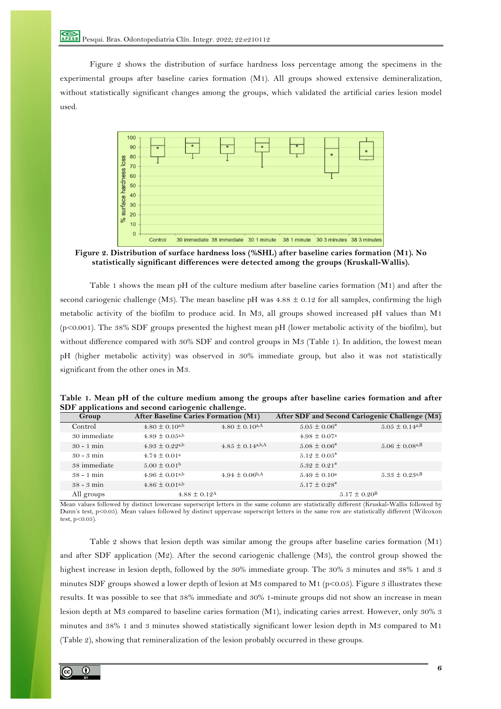Figure 2 shows the distribution of surface hardness loss percentage among the specimens in the experimental groups after baseline caries formation (M1). All groups showed extensive demineralization, without statistically significant changes among the groups, which validated the artificial caries lesion model used.



**Figure 2. Distribution of surface hardness loss (%SHL) after baseline caries formation (M1). No statistically significant differences were detected among the groups (Kruskall-Wallis).**

Table 1 shows the mean pH of the culture medium after baseline caries formation (M1) and after the second cariogenic challenge (M3). The mean baseline pH was  $4.88 \pm 0.12$  for all samples, confirming the high metabolic activity of the biofilm to produce acid. In M3, all groups showed increased pH values than M1 (p<0.001). The 38% SDF groups presented the highest mean pH (lower metabolic activity of the biofilm), but without difference compared with 30% SDF and control groups in M3 (Table 1). In addition, the lowest mean pH (higher metabolic activity) was observed in 30% immediate group, but also it was not statistically significant from the other ones in M3.

| Table 1. Mean pH of the culture medium among the groups after baseline caries formation and after |  |  |  |
|---------------------------------------------------------------------------------------------------|--|--|--|
| SDF applications and second cariogenic challenge.                                                 |  |  |  |

| Group        | <b>After Baseline Caries Formation (M1)</b> |                                  | After SDF and Second Cariogenic Challenge (M3) |                                |
|--------------|---------------------------------------------|----------------------------------|------------------------------------------------|--------------------------------|
| Control      | $4.80 \pm 0.10^{a,b}$                       | $4.80 \pm 0.10$ <sup>a,A</sup>   | $5.05 \pm 0.06^a$                              | $5.05 \pm 0.14^{a,B}$          |
| 30 immediate | $4.89 \pm 0.05$ <sup>a,b</sup>              |                                  | $4.98 \pm 0.07$ <sup>a</sup>                   |                                |
| $30 - 1$ min | $4.93 \pm 0.22$ <sup>a,b</sup>              | $4.85 \pm 0.14$ <sup>a,b,A</sup> | $5.08 \pm 0.06^{\circ}$                        | $5.06 \pm 0.08$ <sup>a,B</sup> |
| $30 - 3$ min | $4.74 \pm 0.01^a$                           |                                  | $5.12 \pm 0.05^{\circ}$                        |                                |
| 38 immediate | $5.00 \pm 0.01$ <sup>b</sup>                |                                  | $5.32 \pm 0.21^{\circ}$                        |                                |
| $38 - 1$ min | $4.96 \pm 0.01^{a,b}$                       | $4.94 \pm 0.06$ <sup>b,A</sup>   | $5.49 \pm 0.10^{\circ}$                        | $5.33 \pm 0.23$ <sup>a,B</sup> |
| $38 - 3$ min | $4.86 \pm 0.01^{a,b}$                       |                                  | $5.17 \pm 0.28^{\rm a}$                        |                                |
| All groups   | $4.88 \pm 0.12$ <sup>A</sup>                |                                  | $5.17 \pm 0.20^{\rm B}$                        |                                |

Mean values followed by distinct lowercase superscript letters in the same column are statistically different (Kruskal-Wallis followed by Dunn's test, p<0.05). Mean values followed by distinct uppercase superscript letters in the same row are statistically different (Wilcoxon test,  $p<0.05$ )

Table 2 shows that lesion depth was similar among the groups after baseline caries formation (M1) and after SDF application (M2). After the second cariogenic challenge (M3), the control group showed the highest increase in lesion depth, followed by the 30% immediate group. The 30% 3 minutes and 38% 1 and 3 minutes SDF groups showed a lower depth of lesion at M3 compared to M1 ( $p<0.05$ ). Figure 3 illustrates these results. It was possible to see that 38% immediate and 30% 1-minute groups did not show an increase in mean lesion depth at M3 compared to baseline caries formation (M1), indicating caries arrest. However, only 30% 3 minutes and 38% 1 and 3 minutes showed statistically significant lower lesion depth in M3 compared to M1 (Table 2), showing that remineralization of the lesion probably occurred in these groups.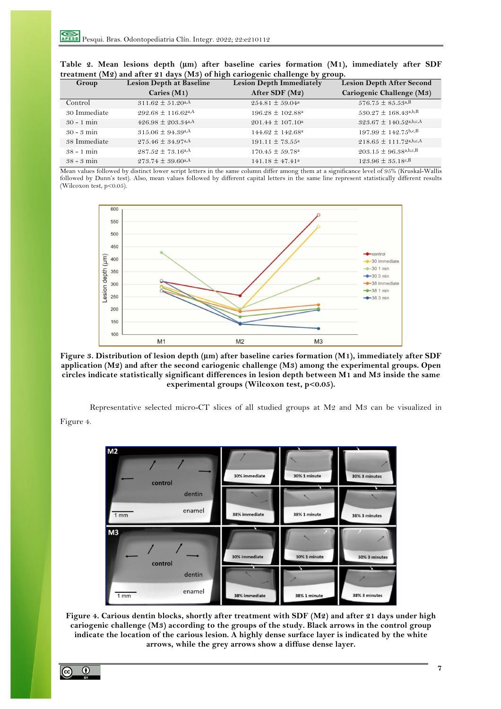| Group        | <b>Lesion Depth at Baseline</b>    | <b>Lesion Depth Immediately</b> | <b>Lesion Depth After Second</b>       |  |  |
|--------------|------------------------------------|---------------------------------|----------------------------------------|--|--|
|              | Caries $(M1)$                      | After SDF (M2)                  | Cariogenic Challenge (M3)              |  |  |
| Control      | $311.62 \pm 51.20$ <sup>a,A</sup>  | $254.81 \pm 59.04^{\rm a}$      | $576.75 \pm 85.53$ <sup>a,B</sup>      |  |  |
| 30 Immediate | $292.68 \pm 116.62$ <sup>a,A</sup> | $196.28 \pm 102.88^{\text{a}}$  | $530.27 \pm 168.43$ <sub>a,b,B</sub>   |  |  |
| $30 - 1$ min | $426.98 \pm 203.34$ <sub>a</sub> A | $201.44 \pm 107.10^a$           | $323.67 \pm 140.52$ <sub>a,b,c,A</sub> |  |  |
| $30 - 3$ min | $315.06 \pm 94.39$ <sub>a</sub> A  | $144.62 \pm 142.68^{\text{a}}$  | $197.99 \pm 142.75$ b,c,B              |  |  |
| 38 Immediate | $275.46 \pm 34.97$ <sup>a,A</sup>  | $191.11 \pm 73.55^{\text{a}}$   | $218.65 \pm 111.72^{a,b,c,A}$          |  |  |
| $38 - 1$ min | $287.52 \pm 73.16$ a,A             | $170.45 \pm 59.78^{\circ}$      | $203.15 \pm 96.38$ a,b,c,B             |  |  |
| $38 - 3$ min | $273.74 \pm 39.60$ <sup>a,A</sup>  | $141.18 \pm 47.41^a$            | $123.96 \pm 35.18$ c, B                |  |  |

|  |  |  |  |                                                                              | Table 2. Mean lesions depth ( $\mu$ m) after baseline caries formation (M1), immediately after SDF |  |
|--|--|--|--|------------------------------------------------------------------------------|----------------------------------------------------------------------------------------------------|--|
|  |  |  |  | treatment (M2) and after 21 days (M3) of high cariogenic challenge by group. |                                                                                                    |  |

Mean values followed by distinct lower script letters in the same column differ among them at a significance level of 95% (Kruskal-Wallis followed by Dunn's test). Also, mean values followed by different capital letters in the same line represent statistically different results (Wilcoxon test, p<0.05).



**Figure 3. Distribution of lesion depth (µm) after baseline caries formation (M1), immediately after SDF application (M2) and after the second cariogenic challenge (M3) among the experimental groups. Open circles indicate statistically significant differences in lesion depth between M1 and M3 inside the same experimental groups (Wilcoxon test, p<0.05).**

Representative selected micro-CT slices of all studied groups at M2 and M3 can be visualized in Figure 4.



**Figure 4. Carious dentin blocks, shortly after treatment with SDF (M2) and after 21 days under high cariogenic challenge (M3) according to the groups of the study. Black arrows in the control group indicate the location of the carious lesion. A highly dense surface layer is indicated by the white arrows, while the grey arrows show a diffuse dense layer.**

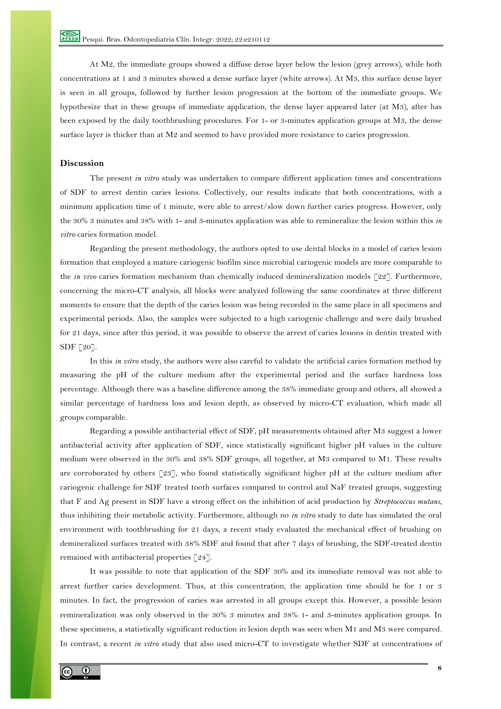At M2, the immediate groups showed a diffuse dense layer below the lesion (grey arrows), while both concentrations at 1 and 3 minutes showed a dense surface layer (white arrows). At M3, this surface dense layer is seen in all groups, followed by further lesion progression at the bottom of the immediate groups. We hypothesize that in these groups of immediate application, the dense layer appeared later (at M3), after has been exposed by the daily toothbrushing procedures. For 1- or 3-minutes application groups at M3, the dense surface layer is thicker than at M2 and seemed to have provided more resistance to caries progression.

# **Discussion**

The present *in vitro* study was undertaken to compare different application times and concentrations of SDF to arrest dentin caries lesions. Collectively, our results indicate that both concentrations, with a minimum application time of 1 minute, were able to arrest/slow down further caries progress. However, only the 30% 3 minutes and 38% with 1- and 3-minutes application was able to remineralize the lesion within this *in vitro* caries formation model.

Regarding the present methodology, the authors opted to use dental blocks in a model of caries lesion formation that employed a mature cariogenic biofilm since microbial cariogenic models are more comparable to the *in vivo* caries formation mechanism than chemically induced demineralization models [22]. Furthermore, concerning the micro-CT analysis, all blocks were analyzed following the same coordinates at three different moments to ensure that the depth of the caries lesion was being recorded in the same place in all specimens and experimental periods. Also, the samples were subjected to a high cariogenic challenge and were daily brushed for 21 days, since after this period, it was possible to observe the arrest of caries lesions in dentin treated with SDF [20].

In this *in vitro* study, the authors were also careful to validate the artificial caries formation method by measuring the pH of the culture medium after the experimental period and the surface hardness loss percentage. Although there was a baseline difference among the 38% immediate group and others, all showed a similar percentage of hardness loss and lesion depth, as observed by micro-CT evaluation, which made all groups comparable.

Regarding a possible antibacterial effect of SDF, pH measurements obtained after M3 suggest a lower antibacterial activity after application of SDF, since statistically significant higher pH values in the culture medium were observed in the 30% and 38% SDF groups, all together, at M3 compared to M1. These results are corroborated by others [23], who found statistically significant higher pH at the culture medium after cariogenic challenge for SDF treated tooth surfaces compared to control and NaF treated groups, suggesting that F and Ag present in SDF have a strong effect on the inhibition of acid production by *Streptococcus mutans*, thus inhibiting their metabolic activity. Furthermore, although no *in vitro* study to date has simulated the oral environment with toothbrushing for 21 days, a recent study evaluated the mechanical effect of brushing on demineralized surfaces treated with 38% SDF and found that after 7 days of brushing, the SDF-treated dentin remained with antibacterial properties [24].

It was possible to note that application of the SDF 30% and its immediate removal was not able to arrest further caries development. Thus, at this concentration, the application time should be for 1 or 3 minutes. In fact, the progression of caries was arrested in all groups except this. However, a possible lesion remineralization was only observed in the 30% 3 minutes and 38% 1- and 3-minutes application groups. In these specimens, a statistically significant reduction in lesion depth was seen when M1 and M3 were compared. In contrast, a recent *in vitro* study that also used micro-CT to investigate whether SDF at concentrations of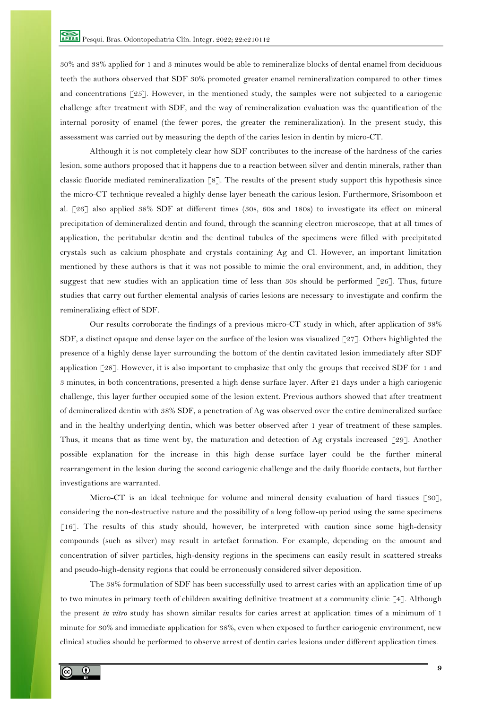30% and 38% applied for 1 and 3 minutes would be able to remineralize blocks of dental enamel from deciduous teeth the authors observed that SDF 30% promoted greater enamel remineralization compared to other times and concentrations  $\lceil 25 \rceil$ . However, in the mentioned study, the samples were not subjected to a cariogenic challenge after treatment with SDF, and the way of remineralization evaluation was the quantification of the internal porosity of enamel (the fewer pores, the greater the remineralization). In the present study, this assessment was carried out by measuring the depth of the caries lesion in dentin by micro-CT.

Although it is not completely clear how SDF contributes to the increase of the hardness of the caries lesion, some authors proposed that it happens due to a reaction between silver and dentin minerals, rather than classic fluoride mediated remineralization [8]. The results of the present study support this hypothesis since the micro-CT technique revealed a highly dense layer beneath the carious lesion. Furthermore, Srisomboon et al. [26] also applied 38% SDF at different times (30s, 60s and 180s) to investigate its effect on mineral precipitation of demineralized dentin and found, through the scanning electron microscope, that at all times of application, the peritubular dentin and the dentinal tubules of the specimens were filled with precipitated crystals such as calcium phosphate and crystals containing Ag and Cl. However, an important limitation mentioned by these authors is that it was not possible to mimic the oral environment, and, in addition, they suggest that new studies with an application time of less than 30s should be performed [26]. Thus, future studies that carry out further elemental analysis of caries lesions are necessary to investigate and confirm the remineralizing effect of SDF.

Our results corroborate the findings of a previous micro-CT study in which, after application of 38% SDF, a distinct opaque and dense layer on the surface of the lesion was visualized [27]. Others highlighted the presence of a highly dense layer surrounding the bottom of the dentin cavitated lesion immediately after SDF application [28]. However, it is also important to emphasize that only the groups that received SDF for 1 and 3 minutes, in both concentrations, presented a high dense surface layer. After 21 days under a high cariogenic challenge, this layer further occupied some of the lesion extent. Previous authors showed that after treatment of demineralized dentin with 38% SDF, a penetration of Ag was observed over the entire demineralized surface and in the healthy underlying dentin, which was better observed after 1 year of treatment of these samples. Thus, it means that as time went by, the maturation and detection of Ag crystals increased [29]. Another possible explanation for the increase in this high dense surface layer could be the further mineral rearrangement in the lesion during the second cariogenic challenge and the daily fluoride contacts, but further investigations are warranted.

Micro-CT is an ideal technique for volume and mineral density evaluation of hard tissues [30], considering the non-destructive nature and the possibility of a long follow-up period using the same specimens [16]. The results of this study should, however, be interpreted with caution since some high-density compounds (such as silver) may result in artefact formation. For example, depending on the amount and concentration of silver particles, high-density regions in the specimens can easily result in scattered streaks and pseudo-high-density regions that could be erroneously considered silver deposition.

The 38% formulation of SDF has been successfully used to arrest caries with an application time of up to two minutes in primary teeth of children awaiting definitive treatment at a community clinic [4]. Although the present *in vitro* study has shown similar results for caries arrest at application times of a minimum of 1 minute for 30% and immediate application for 38%, even when exposed to further cariogenic environment, new clinical studies should be performed to observe arrest of dentin caries lesions under different application times.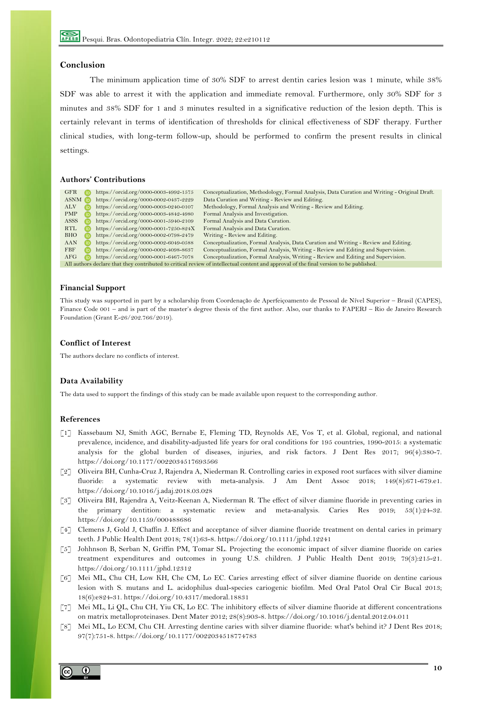## **Conclusion**

The minimum application time of 30% SDF to arrest dentin caries lesion was 1 minute, while 38% SDF was able to arrest it with the application and immediate removal. Furthermore, only 30% SDF for 3 minutes and 38% SDF for 1 and 3 minutes resulted in a significative reduction of the lesion depth. This is certainly relevant in terms of identification of thresholds for clinical effectiveness of SDF therapy. Further clinical studies, with long-term follow-up, should be performed to confirm the present results in clinical settings.

# **Authors' Contributions**

| GFR                                                                                                                                     | https://orcid.org/0000-0003-4992-1575 | Conceptualization, Methodology, Formal Analysis, Data Curation and Writing - Original Draft. |  |  |  |
|-----------------------------------------------------------------------------------------------------------------------------------------|---------------------------------------|----------------------------------------------------------------------------------------------|--|--|--|
| <b>ASNM D</b>                                                                                                                           | https://orcid.org/0000-0002-0437-2229 | Data Curation and Writing - Review and Editing.                                              |  |  |  |
| ALV                                                                                                                                     | https://orcid.org/0000-0003-0240-0107 | Methodology, Formal Analysis and Writing - Review and Editing.                               |  |  |  |
| <b>PMP</b>                                                                                                                              | https://orcid.org/0000-0003-4842-4980 | Formal Analysis and Investigation.                                                           |  |  |  |
| ASSS                                                                                                                                    | https://orcid.org/0000-0001-5940-2109 | Formal Analysis and Data Curation.                                                           |  |  |  |
| RTL                                                                                                                                     | https://orcid.org/0000-0001-7250-824X | Formal Analysis and Data Curation.                                                           |  |  |  |
| BHO                                                                                                                                     | https://orcid.org/0000-0002-0798-2479 | Writing - Review and Editing.                                                                |  |  |  |
| AAN                                                                                                                                     | https://orcid.org/0000-0002-6049-0588 | Conceptualization, Formal Analysis, Data Curation and Writing - Review and Editing.          |  |  |  |
| <b>FBF</b>                                                                                                                              | https://orcid.org/0000-0002-4098-8637 | Conceptualization, Formal Analysis, Writing - Review and Editing and Supervision.            |  |  |  |
| AFG                                                                                                                                     | https://orcid.org/0000-0001-6467-7078 | Conceptualization, Formal Analysis, Writing - Review and Editing and Supervision.            |  |  |  |
| All authors declare that they contributed to critical review of intellectual content and approval of the final version to be published. |                                       |                                                                                              |  |  |  |

#### **Financial Support**

This study was supported in part by a scholarship from Coordenação de Aperfeiçoamento de Pessoal de Nível Superior – Brasil (CAPES), Finance Code 001 – and is part of the master's degree thesis of the first author. Also, our thanks to FAPERJ – Rio de Janeiro Research Foundation (Grant E-26/202.766/2019).

### **Conflict of Interest**

The authors declare no conflicts of interest.

## **Data Availability**

The data used to support the findings of this study can be made available upon request to the corresponding author.

## **References**

- [1] Kassebaum NJ, Smith AGC, Bernabe E, Fleming TD, Reynolds AE, Vos T, et al. Global, regional, and national prevalence, incidence, and disability-adjusted life years for oral conditions for 195 countries, 1990-2015: a systematic analysis for the global burden of diseases, injuries, and risk factors. J Dent Res 2017; 96(4):380-7. https://doi.org/10.1177/0022034517693566
- [2] Oliveira BH, Cunha-Cruz J, Rajendra A, Niederman R. Controlling caries in exposed root surfaces with silver diamine fluoride: a systematic review with meta-analysis. J Am Dent Assoc 2018; 149(8):671-679.e1. https://doi.org/10.1016/j.adaj.2018.03.028
- [3] Oliveira BH, Rajendra A, Veitz-Keenan A, Niederman R. The effect of silver diamine fluoride in preventing caries in the primary dentition: a systematic review and meta-analysis. Caries Res 2019; 53(1):24-32. https://doi.org/10.1159/000488686
- [4] Clemens J, Gold J, Chaffin J. Effect and acceptance of silver diamine fluoride treatment on dental caries in primary teeth. J Public Health Dent 2018; 78(1):63-8. https://doi.org/10.1111/jphd.12241
- [5] Johhnson B, Serban N, Griffin PM, Tomar SL. Projecting the economic impact of silver diamine fluoride on caries treatment expenditures and outcomes in young U.S. children. J Public Health Dent 2019; 79(3):215-21. https://doi.org/10.1111/jphd.12312
- [6] Mei ML, Chu CH, Low KH, Che CM, Lo EC. Caries arresting effect of silver diamine fluoride on dentine carious lesion with S. mutans and L. acidophilus dual-species cariogenic biofilm. Med Oral Patol Oral Cir Bucal 2013; 18(6):e824-31. https://doi.org/10.4317/medoral.18831
- [7] Mei ML, Li QL, Chu CH, Yiu CK, Lo EC. The inhibitory effects of silver diamine fluoride at different concentrations on matrix metalloproteinases. Dent Mater 2012; 28(8):903-8. https://doi.org/10.1016/j.dental.2012.04.011
- [8] Mei ML, Lo ECM, Chu CH. Arresting dentine caries with silver diamine fluoride: what's behind it? J Dent Res 2018; 97(7):751-8. https://doi.org/10.1177/0022034518774783